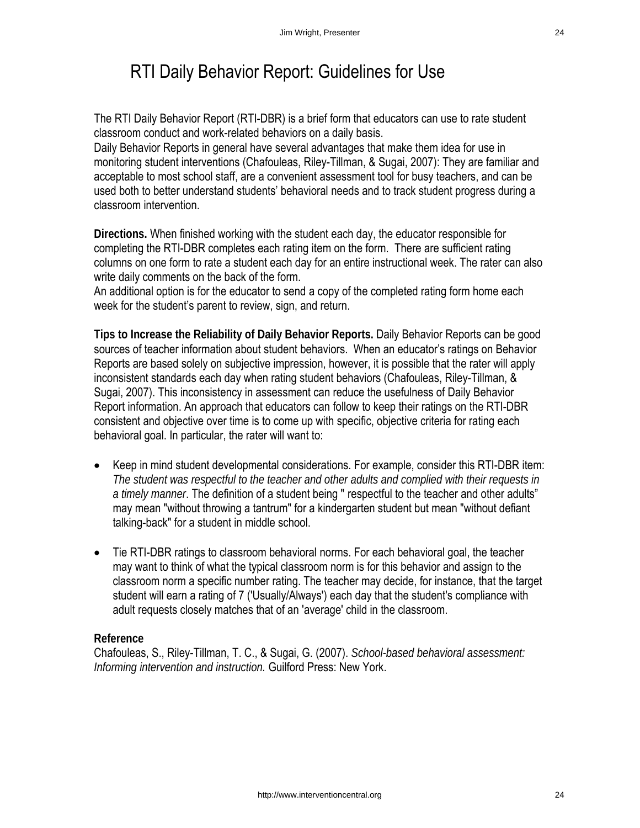#### RTI Daily Behavior Report: Guidelines for Use

The RTI Daily Behavior Report (RTI-DBR) is a brief form that educators can use to rate student classroom conduct and work-related behaviors on a daily basis.

Daily Behavior Reports in general have several advantages that make them idea for use in monitoring student interventions (Chafouleas, Riley-Tillman, & Sugai, 2007): They are familiar and acceptable to most school staff, are a convenient assessment tool for busy teachers, and can be used both to better understand students' behavioral needs and to track student progress during a classroom intervention.

**Directions.** When finished working with the student each day, the educator responsible for completing the RTI-DBR completes each rating item on the form. There are sufficient rating columns on one form to rate a student each day for an entire instructional week. The rater can also write daily comments on the back of the form.

An additional option is for the educator to send a copy of the completed rating form home each week for the student's parent to review, sign, and return.

**Tips to Increase the Reliability of Daily Behavior Reports.** Daily Behavior Reports can be good sources of teacher information about student behaviors. When an educator's ratings on Behavior Reports are based solely on subjective impression, however, it is possible that the rater will apply inconsistent standards each day when rating student behaviors (Chafouleas, Riley-Tillman, & Sugai, 2007). This inconsistency in assessment can reduce the usefulness of Daily Behavior Report information. An approach that educators can follow to keep their ratings on the RTI-DBR consistent and objective over time is to come up with specific, objective criteria for rating each behavioral goal. In particular, the rater will want to:

- Keep in mind student developmental considerations. For example, consider this RTI-DBR item: *The student was respectful to the teacher and other adults and complied with their requests in a timely manner*. The definition of a student being " respectful to the teacher and other adults" may mean "without throwing a tantrum" for a kindergarten student but mean "without defiant talking-back" for a student in middle school.
- Tie RTI-DBR ratings to classroom behavioral norms. For each behavioral goal, the teacher may want to think of what the typical classroom norm is for this behavior and assign to the classroom norm a specific number rating. The teacher may decide, for instance, that the target student will earn a rating of 7 ('Usually/Always') each day that the student's compliance with adult requests closely matches that of an 'average' child in the classroom.

#### **Reference**

Chafouleas, S., Riley-Tillman, T. C., & Sugai, G. (2007). *School-based behavioral assessment: Informing intervention and instruction.* Guilford Press: New York.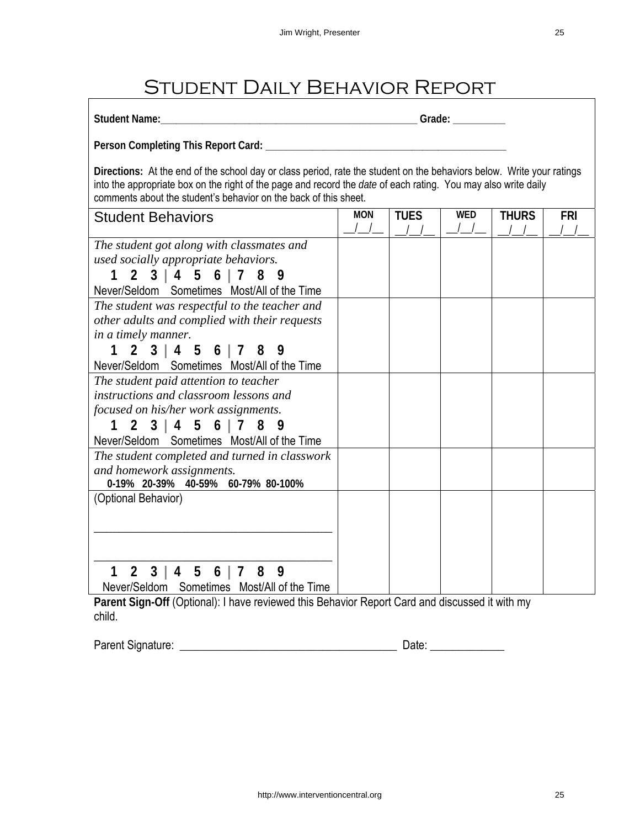## Student Daily Behavior Report

**Student Name:\_\_\_\_\_\_\_\_\_\_\_\_\_\_\_\_\_\_\_\_\_\_\_\_\_\_\_\_\_\_\_\_\_\_\_\_\_\_\_\_\_\_\_\_\_\_\_\_\_ Grade: \_\_\_\_\_\_\_\_\_\_** 

**Person Completing This Report Card: \_\_\_\_\_\_\_\_\_\_\_\_\_\_\_\_\_\_\_\_\_\_\_\_\_\_\_\_\_\_\_\_\_\_\_\_\_\_\_\_\_\_\_\_\_\_** 

**Directions:** At the end of the school day or class period, rate the student on the behaviors below. Write your ratings into the appropriate box on the right of the page and record the *date* of each rating. You may also write daily comments about the student's behavior on the back of this sheet.

| <b>Student Behaviors</b>                                                                                                                                                                         | <b>MON</b> | <b>TUES</b> | <b>WED</b> | <b>THURS</b> | <b>FRI</b> |
|--------------------------------------------------------------------------------------------------------------------------------------------------------------------------------------------------|------------|-------------|------------|--------------|------------|
| The student got along with classmates and<br>used socially appropriate behaviors.<br>$1 \t2 \t3 \t4 \t5 \t6$<br>8<br>$\overline{7}$<br>9<br>Never/Seldom Sometimes Most/All of the Time          |            |             |            |              |            |
| The student was respectful to the teacher and<br>other adults and complied with their requests<br>in a timely manner.<br>$2$ 3 4 5 6 7 8 9<br>Never/Seldom Sometimes Most/All of the Time        |            |             |            |              |            |
| The student paid attention to teacher<br>instructions and classroom lessons and<br>focused on his/her work assignments.<br>$2$ 3 4 5 6 7 8 9<br>1<br>Never/Seldom Sometimes Most/All of the Time |            |             |            |              |            |
| The student completed and turned in classwork<br>and homework assignments.<br>0-19% 20-39% 40-59% 60-79% 80-100%                                                                                 |            |             |            |              |            |
| (Optional Behavior)<br>9<br>8<br>5<br>3<br>7<br>2<br>4<br>6<br>Never/Seldom Sometimes Most/All of the Time                                                                                       |            |             |            |              |            |

**Parent Sign-Off** (Optional): I have reviewed this Behavior Report Card and discussed it with my child.

| Parent Signature: | Date: |  |
|-------------------|-------|--|
|                   |       |  |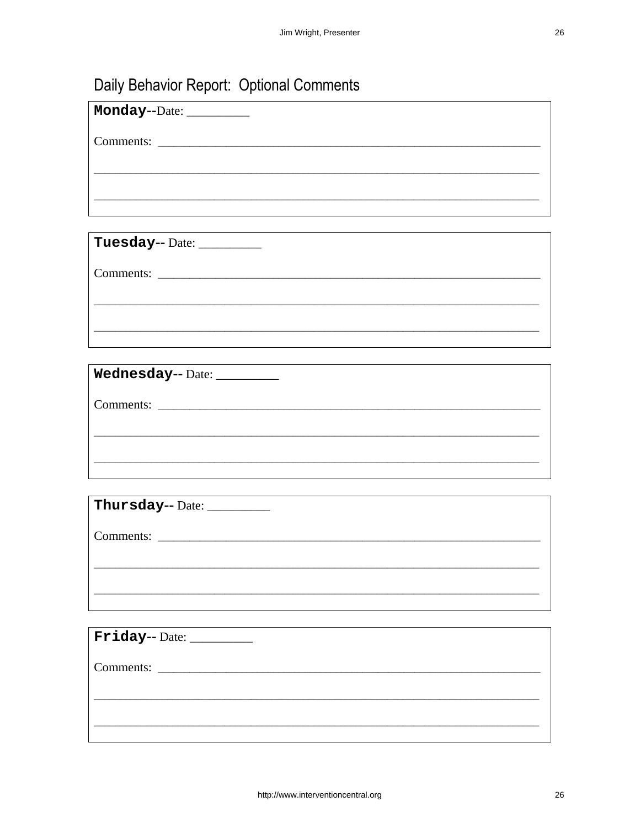# Daily Behavior Report: Optional Comments

| Monday--Date: |  |
|---------------|--|
|               |  |
|               |  |
|               |  |
|               |  |

Tuesday-- Date: \_\_\_\_\_\_\_\_\_

| Wednesday-- Date: _________ |  |
|-----------------------------|--|
|                             |  |
|                             |  |
|                             |  |
|                             |  |

| Thursday-- Date: __________ |
|-----------------------------|
|                             |
|                             |
|                             |
|                             |

| Friday--Date: _________ |
|-------------------------|
|                         |
|                         |
|                         |
|                         |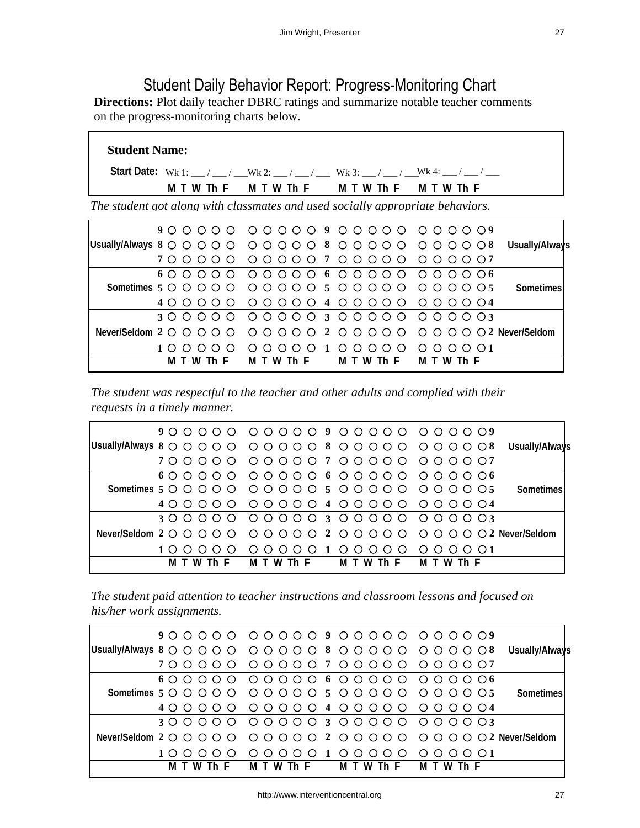## Student Daily Behavior Report: Progress-Monitoring Chart

**Directions:** Plot daily teacher DBRC ratings and summarize notable teacher comments on the progress-monitoring charts below.

| <b>Student Name:</b> |                                                                |                                                                    |                                                                                        |                                                               |                  |
|----------------------|----------------------------------------------------------------|--------------------------------------------------------------------|----------------------------------------------------------------------------------------|---------------------------------------------------------------|------------------|
|                      |                                                                |                                                                    |                                                                                        |                                                               |                  |
|                      | M T W Th F                                                     | M T W Th F                                                         | M T W Th F                                                                             | M T W Th F                                                    |                  |
|                      |                                                                |                                                                    | The student got along with classmates and used socially appropriate behaviors.         |                                                               |                  |
|                      | 900000                                                         | 0 0 0 0 0 9 0 0 0 0                                                | $\bigcap$                                                                              | $\begin{smallmatrix} 0 & 0 & 0 & 0 & 0 & 9 \end{smallmatrix}$ |                  |
|                      | Usually/Always $8 \circ \circ \circ \circ \circ$               |                                                                    | 0 0 0 0 0 8 0 0 0 0 0                                                                  | $\circ$ $\circ$ $\circ$ $\circ$ $\circ$ $\circ$               | Usually/Always   |
|                      | ∩                                                              | $\bigcirc$<br>$\bigcirc$<br>$\bigcirc$<br>$\bigcirc$<br>$\bigcirc$ | 7<br>$\circ$ $\circ$<br>$\circ$ $\circ$<br>∩                                           | 0 0 0 0 0 7                                                   |                  |
|                      | 6 O<br>$\bigcap$<br>$\bigcap$<br>$\bigcap$<br>$\left( \right)$ | ∩<br>$\bigcirc$<br>∩<br>$\left($ )<br>$\left($ )                   | 6<br><sup>.</sup> O<br>$\bigcirc$<br>$\bigcap$<br>$\left( \right)$<br>$\left( \right)$ | ∩<br>$O$ $O$ $O$ 6<br>$\bigcirc$                              |                  |
|                      | Sometimes $5 \circ$ $0 \circ$ $0 \circ$ $0$                    | O O                                                                | 000 5 0 0 0 0<br>$\bigcap$                                                             | $\Omega$<br>$\circ \circ \circ \circ \circ$                   | <b>Sometimes</b> |
|                      | 4 () () ()<br>$\bigcap$<br>◯                                   | O O<br>$\bigcirc$<br>$\bigcirc$<br>$\bigcap$                       | O O<br>$\overline{4}$<br>$\bigcirc$<br>$\bigcirc$<br>$\bigcirc$                        | $\bigcirc$<br>$\bigcirc$ $\bigcirc$ $\bigcirc$ $\bigcirc$ 4   |                  |
|                      | 3 O<br>$\bigcap$<br>$\left( \right)$<br>$\left( \right)$<br>() | ◯<br>$\bigcap$<br>$\left( \right)$<br>()                           | $\mathbf{3}$<br>()<br>$\left( \quad \right)$<br>$\left( \quad \right)$<br>0            | ∩<br>◯<br>$\bigcirc$ 3<br>$\bigcirc$<br>$\left( \right)$      |                  |
|                      | Never/Seldom $2 \circ \circ \circ \circ \circ \circ$           | O O O O O                                                          | 2 0 0 0 0 0 0 0 0 0 0 2 Never/Seldom                                                   |                                                               |                  |
|                      |                                                                |                                                                    | $\left( \quad \right)$<br>( )                                                          | $\bigcirc$<br>O <sub>1</sub><br>$\left( \quad \right)$<br>( ) |                  |
|                      | .F<br>w<br>In.                                                 | M<br>W<br>$1h$ F                                                   | M<br>W<br>Ih F                                                                         | M<br>1hF<br>w                                                 |                  |

*The student was respectful to the teacher and other adults and complied with their requests in a timely manner.* 

|  | MTWThF MTWThF MTWThF MTWThF        |  |           |
|--|------------------------------------|--|-----------|
|  | 100000 00000 1 00000 000001        |  |           |
|  |                                    |  |           |
|  | 300000 00000 3 00000 000003        |  |           |
|  | 400000 00000 4 00000 000004        |  |           |
|  | Sometimes $5000000000050000000005$ |  | Sometimes |
|  | 600000 00000 6 00000 000006        |  |           |
|  | 700000 00000 7 00000 000007        |  |           |
|  |                                    |  |           |
|  | 900000 00000 9 00000 000009        |  |           |

*The student paid attention to teacher instructions and classroom lessons and focused on his/her work assignments.* 

|                                       | мт                          | W<br>Th F                   | MTWThE MTWThE |  |  | M T W Th F |  |           |
|---------------------------------------|-----------------------------|-----------------------------|---------------|--|--|------------|--|-----------|
|                                       |                             | 100000 00000 1 00000 000001 |               |  |  |            |  |           |
|                                       |                             |                             |               |  |  |            |  |           |
|                                       | 300000 00000 3 00000 000003 |                             |               |  |  |            |  |           |
|                                       | 400000 00000 4 00000 000004 |                             |               |  |  |            |  |           |
| Sometimes 500000 000000 500000 000005 |                             |                             |               |  |  |            |  | Sometimes |
|                                       | 600000 00000 6 00000 000006 |                             |               |  |  |            |  |           |
|                                       | 700000 00000 7 00000 000007 |                             |               |  |  |            |  |           |
|                                       |                             |                             |               |  |  |            |  |           |
|                                       | 900000 00000 9 00000 000009 |                             |               |  |  |            |  |           |
|                                       |                             |                             |               |  |  |            |  |           |